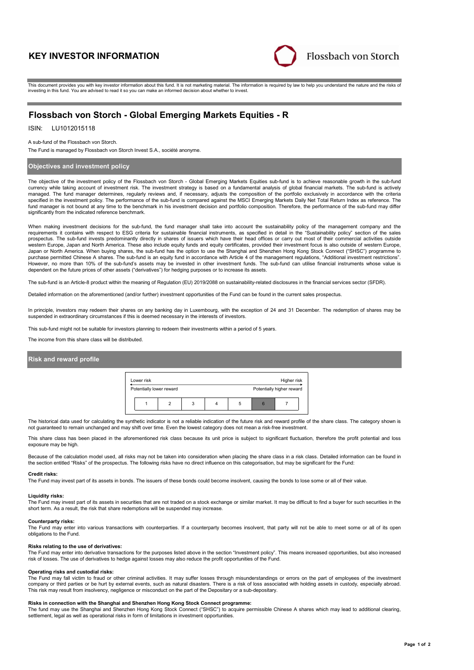# **KEY INVESTOR INFORMATION**



This document provides you with key investor information about this fund. It is not marketing material. The information is required by law to help you understand the nature and the risks of investing in this fund. You are advised to read it so you can make an informed decision about whether to invest.

# **Flossbach von Storch - Global Emerging Markets Equities - R**

## ISIN: LU1012015118

#### A sub-fund of the Flossbach von Storch.

The Fund is managed by Flossbach von Storch Invest S.A., société anonyme.

### **Objectives and investment policy**

The objective of the investment policy of the Flossbach von Storch - Global Emerging Markets Equities sub-fund is to achieve reasonable growth in the sub-fund currency while taking account of investment risk. The investment strategy is based on a fundamental analysis of global financial markets. The sub-fund is actively managed. The fund manager determines, regularly reviews and, if necessary, adjusts the composition of the portfolio exclusively in accordance with the criteria specified in the investment policy. The performance of the sub-fund is compared against the MSCI Emerging Markets Daily Net Total Return Index as reference. The fund manager is not bound at any time to the benchmark in his investment decision and portfolio composition. Therefore, the performance of the sub-fund may differ significantly from the indicated reference benchmark.

When making investment decisions for the sub-fund, the fund manager shall take into account the sustainability policy of the management company and the<br>requirements it contains with respect to ESG criteria for sustainable prospectus. The sub-fund invests predominantly directly in shares of issuers which have their head offices or carry out most of their commercial activities outside western Europe, Japan and North America. These also include equity funds and equity certificates, provided their investment focus is also outside of western Europe, Japan or North America. When buying shares, the sub-fund has the option to use the Shanghai and Shenzhen Hong Kong Stock Connect ("SHSC") programme to purchase permitted Chinese A shares. The sub-fund is an equity fund in accordance with Article 4 of the management regulations, "Additional investment restrictions". However, no more than 10% of the sub-fund's assets may be invested in other investment funds. The sub-fund can utilise financial instruments whose value is<br>dependent on the future prices of other assets ("derivatives") for

The sub-fund is an Article-8 product within the meaning of Regulation (EU) 2019/2088 on sustainability-related disclosures in the financial services sector (SFDR).

Detailed information on the aforementioned (and/or further) investment opportunities of the Fund can be found in the current sales prospectus.

In principle, investors may redeem their shares on any banking day in Luxembourg, with the exception of 24 and 31 December. The redemption of shares may be suspended in extraordinary circumstances if this is deemed necessary in the interests of investors.

This sub-fund might not be suitable for investors planning to redeem their investments within a period of 5 years.

The income from this share class will be distributed.

#### **Risk and reward profile**

| Lower risk               |  |  | Higher risk               |  |
|--------------------------|--|--|---------------------------|--|
| Potentially lower reward |  |  | Potentially higher reward |  |
|                          |  |  |                           |  |

The historical data used for calculating the synthetic indicator is not a reliable indication of the future risk and reward profile of the share class. The category shown is not guaranteed to remain unchanged and may shift over time. Even the lowest category does not mean a risk-free investment.

This share class has been placed in the aforementioned risk class because its unit price is subject to significant fluctuation, therefore the profit potential and loss exposure may be high.

Because of the calculation model used, all risks may not be taken into consideration when placing the share class in a risk class. Detailed information can be found in the section entitled "Risks" of the prospectus. The following risks have no direct influence on this categorisation, but may be significant for the Fund:

#### **Credit risks:**

The Fund may invest part of its assets in bonds. The issuers of these bonds could become insolvent, causing the bonds to lose some or all of their value.

#### **Liquidity risks:**

The Fund may invest part of its assets in securities that are not traded on a stock exchange or similar market. It may be difficult to find a buyer for such securities in the short term. As a result, the risk that share redemptions will be suspended may increase.

#### **Counterparty risks:**

The Fund may enter into various transactions with counterparties. If a counterparty becomes insolvent, that party will not be able to meet some or all of its open obligations to the Fund.

#### **Risks relating to the use of derivatives:**

The Fund may enter into derivative transactions for the purposes listed above in the section "Investment policy". This means increased opportunities, but also increased risk of losses. The use of derivatives to hedge against losses may also reduce the profit opportunities of the Fund.

### **Operating risks and custodial risks:**

The Fund may fall victim to fraud or other criminal activities. It may suffer losses through misunderstandings or errors on the part of employees of the investment company or third parties or be hurt by external events, such as natural disasters. There is a risk of loss associated with holding assets in custody, especially abroad. This risk may result from insolvency, negligence or misconduct on the part of the Depositary or a sub-depositary.

#### **Risks in connection with the Shanghai and Shenzhen Hong Kong Stock Connect programme:**

The fund may use the Shanghai and Shenzhen Hong Kong Stock Connect ("SHSC") to acquire permissible Chinese A shares which may lead to additional clearing, settlement, legal as well as operational risks in form of limitations in investment opportunities.